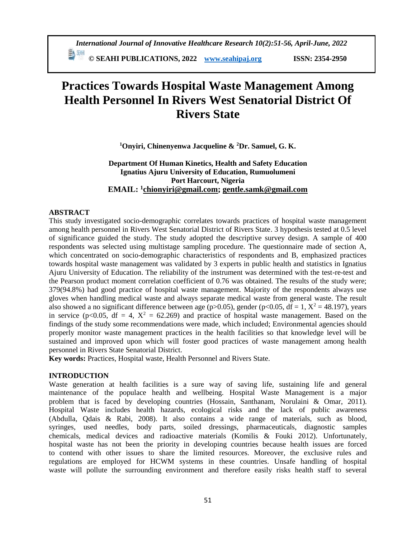瓢 洲 © SEAHI PUBLICATIONS, 2022 www.seahipaj.org **ISSN: 2354-2950** 

# **Practices Towards Hospital Waste Management Among Health Personnel In Rivers West Senatorial District Of Rivers State**

<sup>1</sup>Onyiri, Chinenyenwa Jacqueline & <sup>2</sup>Dr. Samuel, G. K.

# Department Of Human Kinetics, Health and Safety Education Ignatius Ajuru University of Education, Rumuolumeni Port Harcourt, Nigeria **EMAIL:**  ${}^{1}$ chionyiri@gmail.com; gentle.samk@gmail.com

# **ABSTRACT**

This study investigated socio-demographic correlates towards practices of hospital waste management among health personnel in Rivers West Senatorial District of Rivers State. 3 hypothesis tested at 0.5 level of significance guided the study. The study adopted the descriptive survey design. A sample of 400 respondents was selected using multistage sampling procedure. The questionnaire made of section A, which concentrated on socio-demographic characteristics of respondents and B, emphasized practices towards hospital waste management was validated by 3 experts in public health and statistics in Ignatius Ajuru University of Education. The reliability of the instrument was determined with the test-re-test and the Pearson product moment correlation coefficient of 0.76 was obtained. The results of the study were: 379(94.8%) had good practice of hospital waste management. Majority of the respondents always use gloves when handling medical waste and always separate medical waste from general waste. The result also showed a no significant difference between age (p>0.05), gender (p<0.05, df = 1,  $X^2 = 48.197$ ), years in service (p<0.05, df = 4,  $X^2$  = 62.269) and practice of hospital waste management. Based on the findings of the study some recommendations were made, which included; Environmental agencies should properly monitor waste management practices in the health facilities so that knowledge level will be sustained and improved upon which will foster good practices of waste management among health personnel in Rivers State Senatorial District.

Key words: Practices, Hospital waste, Health Personnel and Rivers State.

# **INTRODUCTION**

Waste generation at health facilities is a sure way of saving life, sustaining life and general maintenance of the populace health and wellbeing. Hospital Waste Management is a major problem that is faced by developing countries (Hossain, Santhanam, Norulaini & Omar, 2011). Hospital Waste includes health hazards, ecological risks and the lack of public awareness (Abdulla, Qdais & Rabi, 2008). It also contains a wide range of materials, such as blood, syringes, used needles, body parts, soiled dressings, pharmaceuticals, diagnostic samples chemicals, medical devices and radioactive materials (Komilis & Fouki 2012). Unfortunately, hospital waste has not been the priority in developing countries because health issues are forced to contend with other issues to share the limited resources. Moreover, the exclusive rules and regulations are employed for HCWM systems in these countries. Unsafe handling of hospital waste will pollute the surrounding environment and therefore easily risks health staff to several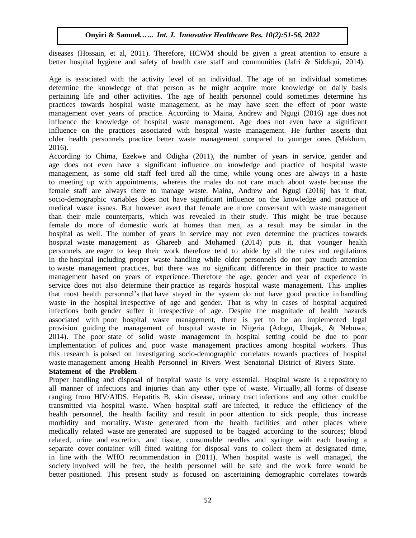diseases (Hossain, et al, 2011). Therefore, HCWM should be given a great attention to ensure a better hospital hygiene and safety of health care staff and communities (Jafri  $\&$  Siddiqui, 2014).

Age is associated with the activity level of an individual. The age of an individual sometimes determine the knowledge of that person as he might acquire more knowledge on daily basis pertaining life and other activities. The age of health personnel could sometimes determine his practices towards hospital waste management, as he may have seen the effect of poor waste management over years of practice. According to Maina, Andrew and Ngugi (2016) age does not influence the knowledge of hospital waste management. Age does not even have a significant influence on the practices associated with hospital waste management. He further asserts that older health personnels practice better waste management compared to younger ones (Makhum, 2016).

According to Chima, Ezekwe and Odigha (2011), the number of years in service, gender and age does not even have a significant influence on knowledge and practice of hospital waste management, as some old staff feel tired all the time, while young ones are always in a haste to meeting up with appointments, whereas the males do not care much about waste because the female staff are always there to manage waste. Maina, Andrew and Ngugi (2016) has it that, socio-demographic variables does not have significant influence on the knowledge and practice of medical waste issues. But however avert that female are more conversant with waste management than their male counterparts, which was revealed in their study. This might be true because female do more of domestic work at homes than men, as a result may be similar in the hospital as well. The number of years in service may not even determine the practices towards hospital waste management as Ghareeb and Mohamed (2014) puts it, that younger health personnels are eager to keep their work therefore tend to abide by all the rules and regulations in the hospital including proper waste handling while older personnels do not pay much attention to waste management practices, but there was no significant difference in their practice to waste management based on years of experience. Therefore the age, gender and year of experience in service does not also determine their practice as regards hospital waste management. This implies that most health personnel's that have stayed in the system do not have good practice in handling waste in the hospital irrespective of age and gender. That is why in cases of hospital acquired infections both gender suffer it irrespective of age. Despite the magnitude of health hazards associated with poor hospital waste management, there is yet to be an implemented legal provision guiding the management of hospital waste in Nigeria (Adogu, Ubajak, & Nebuwa, 2014). The poor state of solid waste management in hospital setting could be due to poor implementation of polices and poor waste management practices among hospital workers. Thus this research is poised on investigating socio-demographic correlates towards practices of hospital waste management among Health Personnel in Rivers West Senatorial District of Rivers State.

# **Statement iof ithe iProblem**

Proper handling and disposal of hospital waste is very essential. Hospital waste is a repository to all manner of infections and injuries than any other type of waste. Virtually, all forms of disease ranging from HIV/AIDS, Hepatitis B, skin disease, urinary tract infections and any other could be transmitted via hospital waste. When hospital staff are infected, it reduce the efficiency of the health personnel, the health facility and result in poor attention to sick people, thus increase morbidity and mortality. Waste generated from the health facilities and other places where medically related waste are generated are supposed to be bagged according to the sources; blood related, urine and excretion, and tissue, consumable needles and syringe with each bearing a separate cover container will fitted waiting for disposal vans to collect them at designated time, in line with the WHO recommendation in  $(2011)$ . When hospital waste is well managed, the society involved will be free, the health personnel will be safe and the work force would be better positioned. This present study is focused on ascertaining demographic correlates towards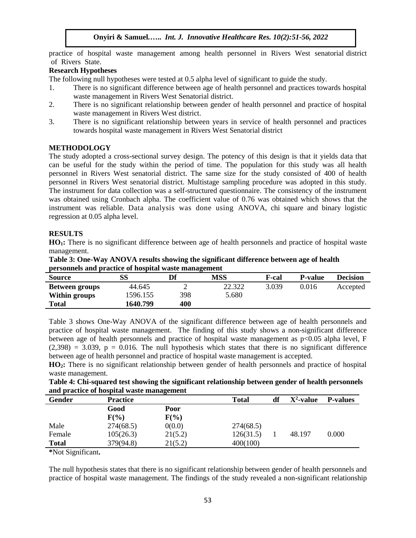practice of hospital waste management among health personnel in Rivers West senatorial district of Rivers State.

#### **Research Hypotheses**

The following null hypotheses were tested at 0.5 alpha level of significant to guide the study.

- 1. There is no significant difference between age of health personnel and practices towards hospital waste management in Rivers West Senatorial district.
- 2. There is no significant relationship between gender of health personnel and practice of hospital waste management in Rivers West district.
- 3. There is no significant relationship between years in service of health personnel and practices towards hospital waste management in Rivers West Senatorial district

# **METHODOLOGY**

The study adopted a cross-sectional survey design. The potency of this design is that it yields data that can be useful for the study within the period of time. The population for this study was all health personnel in Rivers West senatorial district. The same size for the study consisted of 400 of health personnel in Rivers West senatorial district. Multistage sampling procedure was adopted in this study. The instrument for data collection was a self-structured questionnaire. The consistency of the instrument was obtained using Cronbach alpha. The coefficient value of 0.76 was obtained which shows that the instrument was reliable. Data analysis was done using ANOVA, chi square and binary logistic regression at 0.05 alpha level.

# **RESULTS**

**HO1:** There is no significant difference between age of health personnels and practice of hospital waste management.

| Table 3: One-Way ANOVA results showing the significant difference between age of health |
|-----------------------------------------------------------------------------------------|
| personnels and practice of hospital waste management                                    |

| <b>Source</b>         | SS       | Df  | <b>MSS</b> | F-cal | <b>P-value</b> | <b>Decision</b> |
|-----------------------|----------|-----|------------|-------|----------------|-----------------|
| <b>Between groups</b> | 44.645   |     | 22.322     | 3.039 | 0.016          | Accepted        |
| Within groups         | 1596.155 | 398 | 5.680      |       |                |                 |
| <b>Total</b>          | 1640.799 | 400 |            |       |                |                 |

Table 3 shows One-Way ANOVA of the significant difference between age of health personnels and practice of hospital waste management. The finding of this study shows a non-significant difference between age of health personnels and practice of hospital waste management as p<0.05 alpha level, F  $(2,398) = 3.039$ ,  $p = 0.016$ . The null hypothesis which states that there is no significant difference between age of health personnel and practice of hospital waste management is accepted.

**HO2:** There is no significant relationship between gender of health personnels and practice of hospital waste management.

| Table 4: Chi-squared test showing the significant relationship between gender of health personnels |  |
|----------------------------------------------------------------------------------------------------|--|
| and practice of hospital waste management                                                          |  |

| Gender       | <b>Practice</b> |         | <b>Total</b> | df | $X^2$ -value | <b>P-values</b> |
|--------------|-----------------|---------|--------------|----|--------------|-----------------|
|              | Good            | Poor    |              |    |              |                 |
|              | $F(\%)$         | $F(\%)$ |              |    |              |                 |
| Male         | 274(68.5)       | 0(0.0)  | 274(68.5)    |    |              |                 |
| Female       | 105(26.3)       | 21(5.2) | 126(31.5)    |    | 48.197       | 0.000           |
| <b>Total</b> | 379(94.8)       | 21(5.2) | 400(100)     |    |              |                 |

**\***Not Significant**.**

The null hypothesis states that there is no significant relationship between gender of health personnels and practice of hospital waste management. The findings of the study revealed a non-significant relationship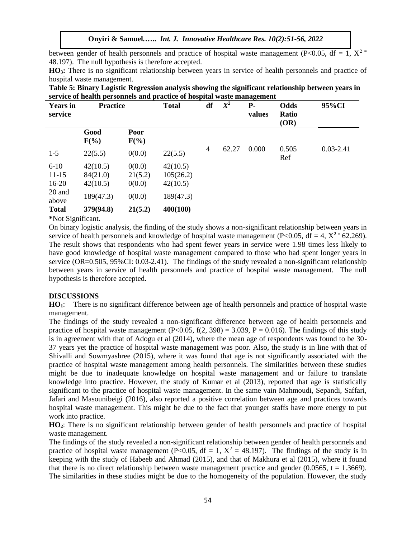between gender of health personnels and practice of hospital waste management (P<0.05, df = 1,  $X^2$  = 48.197). The null hypothesis is therefore accepted.

**HO3:** There is no significant relationship between years in service of health personnels and practice of hospital waste management.

| Table 5: Binary Logistic Regression analysis showing the significant relationship between years in |  |  |  |
|----------------------------------------------------------------------------------------------------|--|--|--|
| service of health personnels and practice of hospital waste management                             |  |  |  |

| <b>Years</b> in<br>service | <b>Practice</b> |                 | <b>Total</b> | df | $\overline{X^2}$ | <b>P</b> -<br>values | Odds<br>Ratio<br>(OR) | 95%CI         |
|----------------------------|-----------------|-----------------|--------------|----|------------------|----------------------|-----------------------|---------------|
|                            | Good<br>$F(\%)$ | Poor<br>$F(\%)$ |              |    |                  |                      |                       |               |
| $1 - 5$                    | 22(5.5)         | 0(0.0)          | 22(5.5)      | 4  | 62.27            | 0.000                | 0.505<br>Ref          | $0.03 - 2.41$ |
| $6 - 10$                   | 42(10.5)        | 0(0.0)          | 42(10.5)     |    |                  |                      |                       |               |
| $11 - 15$                  | 84(21.0)        | 21(5.2)         | 105(26.2)    |    |                  |                      |                       |               |
| $16 - 20$                  | 42(10.5)        | 0(0.0)          | 42(10.5)     |    |                  |                      |                       |               |
| 20 and<br>above            | 189(47.3)       | 0(0.0)          | 189(47.3)    |    |                  |                      |                       |               |
| <b>Total</b>               | 379(94.8)       | 21(5.2)         | 400(100)     |    |                  |                      |                       |               |

**\***Not Significant**.**

On binary logistic analysis, the finding of the study shows a non-significant relationship between years in service of health personnels and knowledge of hospital waste management ( $P < 0.05$ , df = 4,  $X^2 = 62.269$ ). The result shows that respondents who had spent fewer years in service were 1.98 times less likely to have good knowledge of hospital waste management compared to those who had spent longer years in service (OR=0.505, 95%CI: 0.03-2.41). The findings of the study revealed a non-significant relationship between years in service of health personnels and practice of hospital waste management. The null hypothesis is therefore accepted.

#### **DISCUSSIONS**

**HO1**: There is no significant difference between age of health personnels and practice of hospital waste management.

The findings of the study revealed a non-significant difference between age of health personnels and practice of hospital waste management (P<0.05, f(2, 398) = 3.039, P = 0.016). The findings of this study is in agreement with that of Adogu et al (2014), where the mean age of respondents was found to be 30- 37 years yet the practice of hospital waste management was poor. Also, the study is in line with that of Shivalli and Sowmyashree (2015), where it was found that age is not significantly associated with the practice of hospital waste management among health personnels. The similarities between these studies might be due to inadequate knowledge on hospital waste management and or failure to translate knowledge into practice. However, the study of Kumar et al (2013), reported that age is statistically significant to the practice of hospital waste management. In the same vain Mahmoudi, Sepandi, Saffari, Jafari and Masounibeigi (2016), also reported a positive correlation between age and practices towards hospital waste management. This might be due to the fact that younger staffs have more energy to put work into practice.

**HO2**: There is no significant relationship between gender of health personnels and practice of hospital waste management.

The findings of the study revealed a non-significant relationship between gender of health personnels and practice of hospital waste management (P<0.05, df = 1,  $X^2 = 48.197$ ). The findings of the study is in keeping with the study of Habeeb and Ahmad (2015), and that of Makhura et al (2015), where it found that there is no direct relationship between waste management practice and gender (0.0565,  $t = 1.3669$ ). The similarities in these studies might be due to the homogeneity of the population. However, the study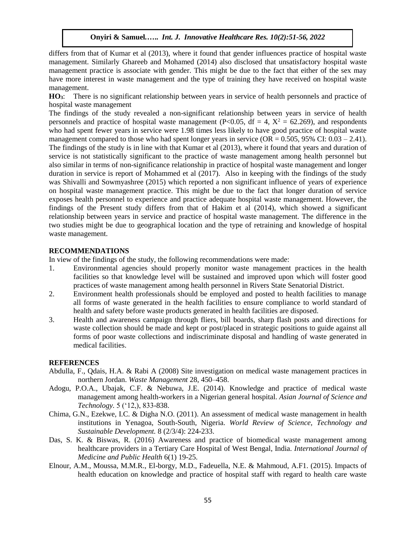differs from that of Kumar et al (2013), where it found that gender influences practice of hospital waste management. Similarly Ghareeb and Mohamed (2014) also disclosed that unsatisfactory hospital waste management practice is associate with gender. This might be due to the fact that either of the sex may have more interest in waste management and the type of training they have received on hospital waste management.

**HO3**: There is no significant relationship between years in service of health personnels and practice of hospital waste management

The findings of the study revealed a non-significant relationship between years in service of health personnels and practice of hospital waste management (P<0.05, df = 4,  $X^2$  = 62.269), and respondents who had spent fewer years in service were 1.98 times less likely to have good practice of hospital waste management compared to those who had spent longer years in service  $(OR = 0.505, 95\% \text{ CI: } 0.03 - 2.41)$ . The findings of the study is in line with that Kumar et al (2013), where it found that years and duration of service is not statistically significant to the practice of waste management among health personnel but also similar in terms of non-significance relationship in practice of hospital waste management and longer duration in service is report of Mohammed et al (2017). Also in keeping with the findings of the study was Shivalli and Sowmyashree (2015) which reported a non significant influence of years of experience on hospital waste management practice. This might be due to the fact that longer duration of service exposes health personnel to experience and practice adequate hospital waste management. However, the findings of the Present study differs from that of Hakim et al (2014), which showed a significant relationship between years in service and practice of hospital waste management. The difference in the two studies might be due to geographical location and the type of retraining and knowledge of hospital waste management.

#### **RECOMMENDATIONS**

In view of the findings of the study, the following recommendations were made:

- 1. Environmental agencies should properly monitor waste management practices in the health facilities so that knowledge level will be sustained and improved upon which will foster good practices of waste management among health personnel in Rivers State Senatorial District.
- 2. Environment health professionals should be employed and posted to health facilities to manage all forms of waste generated in the health facilities to ensure compliance to world standard of health and safety before waste products generated in health facilities are disposed.
- 3. Health and awareness campaign through fliers, bill boards, sharp flash posts and directions for waste collection should be made and kept or post/placed in strategic positions to guide against all forms of poor waste collections and indiscriminate disposal and handling of waste generated in medical facilities.

#### **REFERENCES**

- Abdulla, F., Qdais, H.A. & Rabi A (2008) Site investigation on medical waste management practices in northern Jordan. *Waste Management* 28, 450–458.
- Adogu, P.O.A., Ubajak, C.F. & Nebuwa, J.E. (2014). Knowledge and practice of medical waste management among health-workers in a Nigerian general hospital. *Asian Journal of Science and Technology.* 5 ('12,), 833-838.
- Chima, G.N., Ezekwe, I.C. & Digha N.O. (2011). An assessment of medical waste management in health institutions in Yenagoa, South-South, Nigeria. *World Review of Science, Technology and Sustainable Development.* 8 (2/3/4): 224-233.
- Das, S. K. & Biswas, R. (2016) Awareness and practice of biomedical waste management among healthcare providers in a Tertiary Care Hospital of West Bengal, India. *International Journal of Medicine and Public Health* 6(1) 19-25.
- Elnour, A.M., Moussa, M.M.R., El-borgy, M.D., Fadeuella, N.E. & Mahmoud, A.F1. (2015). Impacts of health education on knowledge and practice of hospital staff with regard to health care waste